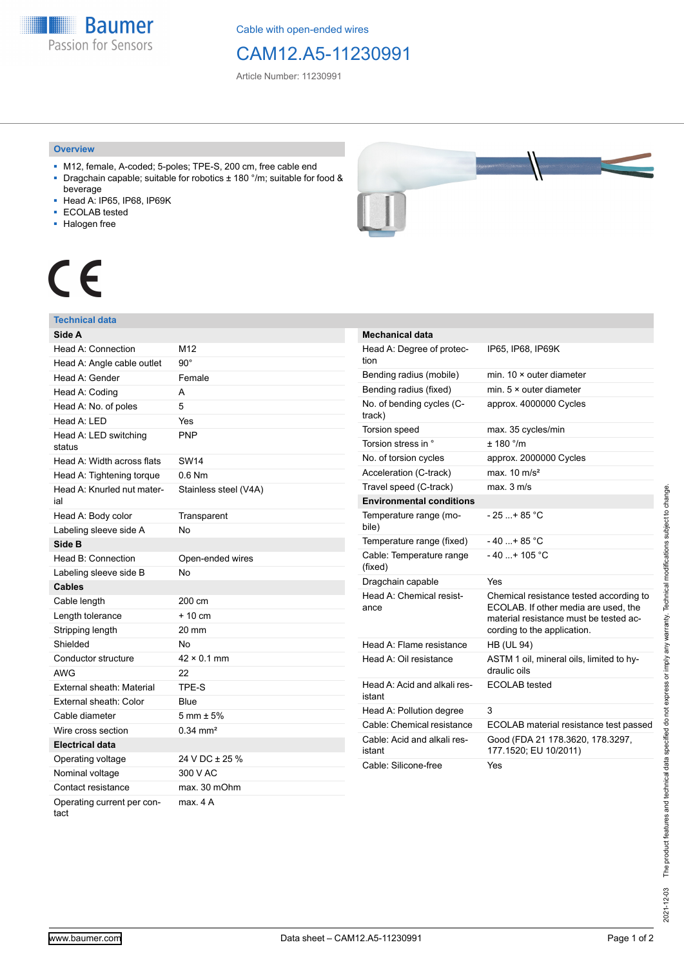**Baumer** Passion for Sensors

Cable with open-ended wires

# CAM12.A5-11230991

Article Number: 11230991

### **Overview**

- M12, female, A-coded; 5-poles; TPE-S, 200 cm, free cable end ■ Dragchain capable; suitable for robotics ± 180 °/m; suitable for food &
- beverage
- Head A: IP65, IP68, IP69K
- ECOLAB tested
- Halogen free



# CE

## **Technical data**

| Side A                             |                        |
|------------------------------------|------------------------|
| Head A: Connection                 | M12                    |
| Head A: Angle cable outlet         | $90^{\circ}$           |
| Head A: Gender                     | Female                 |
| Head A: Coding                     | A                      |
| Head A: No. of poles               | 5                      |
| Head A: LED                        | Yes                    |
| Head A: LED switching<br>status    | <b>PNP</b>             |
| Head A: Width across flats         | <b>SW14</b>            |
| Head A: Tightening torque          | $0.6$ Nm               |
| Head A: Knurled nut mater-<br>ial  | Stainless steel (V4A)  |
| Head A: Body color                 | Transparent            |
| Labeling sleeve side A             | No                     |
| Side B                             |                        |
| Head B: Connection                 | Open-ended wires       |
| Labeling sleeve side B             | No                     |
| <b>Cables</b>                      |                        |
| Cable length                       | 200 cm                 |
| Length tolerance                   | $+10cm$                |
| Stripping length                   | 20 mm                  |
| Shielded                           | No                     |
| Conductor structure                | $42 \times 0.1$ mm     |
| <b>AWG</b>                         | 22                     |
| External sheath: Material          | TPE-S                  |
| External sheath: Color             | Blue                   |
| Cable diameter                     | $5 \text{ mm} \pm 5\%$ |
| Wire cross section                 | $0.34 \, \text{mm}^2$  |
| Electrical data                    |                        |
| Operating voltage                  | 24 V DC ± 25 %         |
| Nominal voltage                    | 300 V AC               |
| Contact resistance                 | max. 30 mOhm           |
| Operating current per con-<br>tact | max. 4 A               |

| <b>Mechanical data</b>                 |                                                                                                                                                          |
|----------------------------------------|----------------------------------------------------------------------------------------------------------------------------------------------------------|
| Head A: Degree of protec-<br>tion      | IP65, IP68, IP69K                                                                                                                                        |
| Bending radius (mobile)                | min. $10 \times$ outer diameter                                                                                                                          |
| Bending radius (fixed)                 | min. $5 \times$ outer diameter                                                                                                                           |
| No. of bending cycles (C-<br>track)    | approx. 4000000 Cycles                                                                                                                                   |
| <b>Torsion speed</b>                   | max. 35 cycles/min                                                                                                                                       |
| Torsion stress in °                    | $+$ 180 $^{\circ}$ /m                                                                                                                                    |
| No. of torsion cycles                  | approx. 2000000 Cycles                                                                                                                                   |
| Acceleration (C-track)                 | max. $10 \text{ m/s}^2$                                                                                                                                  |
| Travel speed (C-track)                 | max. 3 m/s                                                                                                                                               |
| <b>Environmental conditions</b>        |                                                                                                                                                          |
| Temperature range (mo-<br>bile)        | $-25+85 °C$                                                                                                                                              |
| Temperature range (fixed)              | - 40 +85 °C                                                                                                                                              |
| Cable: Temperature range<br>(fixed)    | $-40+105$ °C                                                                                                                                             |
| Dragchain capable                      | Yes                                                                                                                                                      |
| Head A: Chemical resist-<br>ance       | Chemical resistance tested according to<br>ECOLAB. If other media are used, the<br>material resistance must be tested ac-<br>cording to the application. |
| Head A: Flame resistance               | <b>HB (UL 94)</b>                                                                                                                                        |
| Head A: Oil resistance                 | ASTM 1 oil, mineral oils, limited to hy-<br>draulic oils                                                                                                 |
| Head A: Acid and alkali res-<br>istant | <b>ECOLAB</b> tested                                                                                                                                     |
| Head A: Pollution degree               | 3                                                                                                                                                        |
| Cable: Chemical resistance             | ECOLAB material resistance test passed                                                                                                                   |
| Cable: Acid and alkali res-<br>istant  | Good (FDA 21 178.3620, 178.3297,<br>177.1520; EU 10/2011)                                                                                                |
| Cable: Silicone-free                   | Yes                                                                                                                                                      |